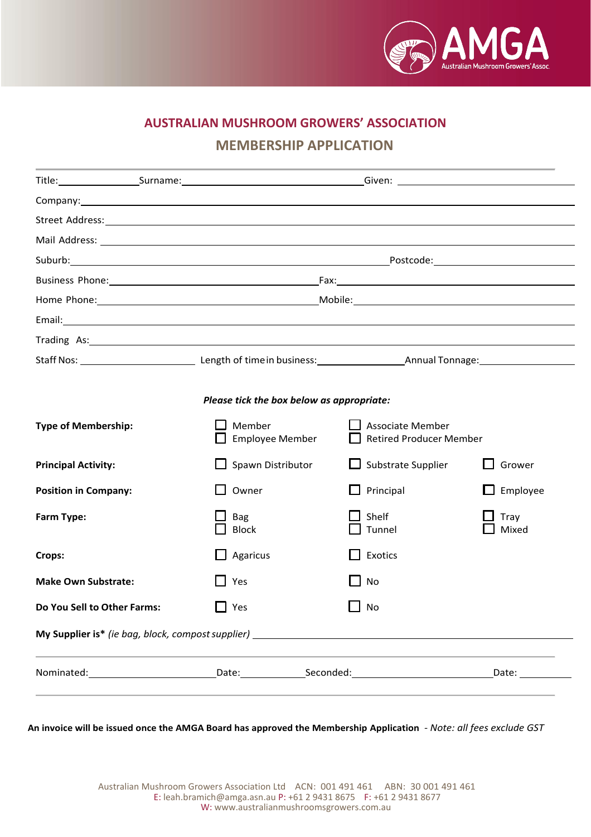

# **AUSTRALIAN MUSHROOM GROWERS' ASSOCIATION**

## **MEMBERSHIP APPLICATION**

|                                                          |  | Company: company: company: company: company: company: company: company: company: company: company: company: company: company: company: company: company: company: company: company: company: company: company: company: compan |  |                                                           |               |  |
|----------------------------------------------------------|--|--------------------------------------------------------------------------------------------------------------------------------------------------------------------------------------------------------------------------------|--|-----------------------------------------------------------|---------------|--|
|                                                          |  |                                                                                                                                                                                                                                |  |                                                           |               |  |
|                                                          |  |                                                                                                                                                                                                                                |  |                                                           |               |  |
|                                                          |  |                                                                                                                                                                                                                                |  |                                                           |               |  |
|                                                          |  |                                                                                                                                                                                                                                |  |                                                           |               |  |
|                                                          |  |                                                                                                                                                                                                                                |  |                                                           |               |  |
|                                                          |  |                                                                                                                                                                                                                                |  |                                                           |               |  |
|                                                          |  | Trading As: Trading As:                                                                                                                                                                                                        |  |                                                           |               |  |
|                                                          |  |                                                                                                                                                                                                                                |  |                                                           |               |  |
|                                                          |  |                                                                                                                                                                                                                                |  |                                                           |               |  |
| Please tick the box below as appropriate:                |  |                                                                                                                                                                                                                                |  |                                                           |               |  |
| <b>Type of Membership:</b>                               |  | Member<br>$\Box$ Employee Member                                                                                                                                                                                               |  | <b>Associate Member</b><br><b>Retired Producer Member</b> |               |  |
| <b>Principal Activity:</b>                               |  | $\Box$ Spawn Distributor                                                                                                                                                                                                       |  | $\Box$ Substrate Supplier                                 | Grower        |  |
| <b>Position in Company:</b>                              |  | $\Box$ Owner                                                                                                                                                                                                                   |  | $\Box$ Principal                                          | Employee      |  |
| Farm Type:                                               |  | Bag<br><b>Block</b>                                                                                                                                                                                                            |  | Shelf<br>Tunnel                                           | Tray<br>Mixed |  |
| Crops:                                                   |  | $\Box$ Agaricus                                                                                                                                                                                                                |  | $\Box$ Exotics                                            |               |  |
| <b>Make Own Substrate:</b>                               |  | $\Box$ Yes                                                                                                                                                                                                                     |  | No                                                        |               |  |
| Do You Sell to Other Farms:                              |  | $\Box$ Yes                                                                                                                                                                                                                     |  | No                                                        |               |  |
| <b>My Supplier is*</b> (ie bag, block, compost supplier) |  |                                                                                                                                                                                                                                |  |                                                           |               |  |
|                                                          |  | Nominated: Date: Date: Seconded: Seconded:                                                                                                                                                                                     |  |                                                           | Date:         |  |

**An invoice will be issued once the AMGA Board has approved the Membership Application** *- Note: all fees exclude GST*